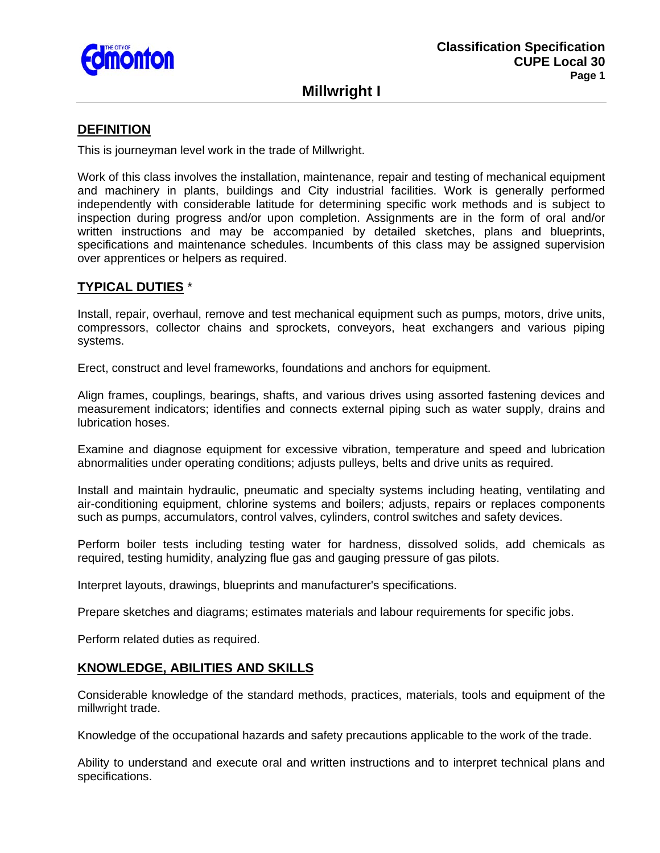

**Millwright I** 

## **DEFINITION**

This is journeyman level work in the trade of Millwright.

Work of this class involves the installation, maintenance, repair and testing of mechanical equipment and machinery in plants, buildings and City industrial facilities. Work is generally performed independently with considerable latitude for determining specific work methods and is subject to inspection during progress and/or upon completion. Assignments are in the form of oral and/or written instructions and may be accompanied by detailed sketches, plans and blueprints, specifications and maintenance schedules. Incumbents of this class may be assigned supervision over apprentices or helpers as required.

# **TYPICAL DUTIES** \*

Install, repair, overhaul, remove and test mechanical equipment such as pumps, motors, drive units, compressors, collector chains and sprockets, conveyors, heat exchangers and various piping systems.

Erect, construct and level frameworks, foundations and anchors for equipment.

Align frames, couplings, bearings, shafts, and various drives using assorted fastening devices and measurement indicators; identifies and connects external piping such as water supply, drains and lubrication hoses.

Examine and diagnose equipment for excessive vibration, temperature and speed and lubrication abnormalities under operating conditions; adjusts pulleys, belts and drive units as required.

Install and maintain hydraulic, pneumatic and specialty systems including heating, ventilating and air-conditioning equipment, chlorine systems and boilers; adjusts, repairs or replaces components such as pumps, accumulators, control valves, cylinders, control switches and safety devices.

Perform boiler tests including testing water for hardness, dissolved solids, add chemicals as required, testing humidity, analyzing flue gas and gauging pressure of gas pilots.

Interpret layouts, drawings, blueprints and manufacturer's specifications.

Prepare sketches and diagrams; estimates materials and labour requirements for specific jobs.

Perform related duties as required.

## **KNOWLEDGE, ABILITIES AND SKILLS**

Considerable knowledge of the standard methods, practices, materials, tools and equipment of the millwright trade.

Knowledge of the occupational hazards and safety precautions applicable to the work of the trade.

Ability to understand and execute oral and written instructions and to interpret technical plans and specifications.